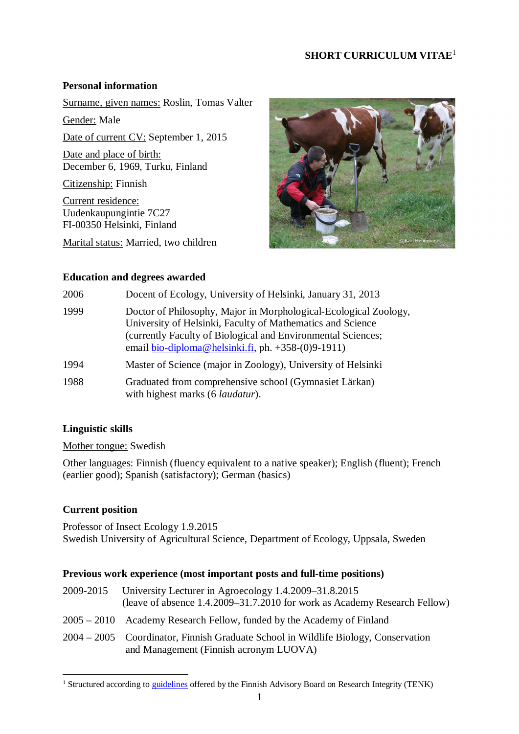# **SHORT CURRICULUM VITAE**[1](#page-0-0)

### **Personal information**

Surname, given names: Roslin, Tomas Valter

Gender: Male Date of current CV: September 1, 2015

Date and place of birth: December 6, 1969, Turku, Finland

Citizenship: Finnish

Current residence: Uudenkaupungintie 7C27 FI-00350 Helsinki, Finland

Marital status: Married, two children



#### **Education and degrees awarded**

| 2006 | Docent of Ecology, University of Helsinki, January 31, 2013                                                                                                                                                                                             |
|------|---------------------------------------------------------------------------------------------------------------------------------------------------------------------------------------------------------------------------------------------------------|
| 1999 | Doctor of Philosophy, Major in Morphological-Ecological Zoology,<br>University of Helsinki, Faculty of Mathematics and Science<br>(currently Faculty of Biological and Environmental Sciences;<br>email bio-diploma@helsinki.fi, ph. $+358-(0)9-1911$ ) |
| 1994 | Master of Science (major in Zoology), University of Helsinki                                                                                                                                                                                            |
| 1988 | Graduated from comprehensive school (Gymnasiet Lärkan)<br>with highest marks (6 <i>laudatur</i> ).                                                                                                                                                      |

#### **Linguistic skills**

Mother tongue: Swedish

Other languages: Finnish (fluency equivalent to a native speaker); English (fluent); French (earlier good); Spanish (satisfactory); German (basics)

# **Current position**

Professor of Insect Ecology 1.9.2015 Swedish University of Agricultural Science, Department of Ecology, Uppsala, Sweden

# **Previous work experience (most important posts and full-time positions)**

- 2009-2015 University Lecturer in Agroecology 1.4.2009–31.8.2015 (leave of absence 1.4.2009–31.7.2010 for work as Academy Research Fellow)
- 2005 2010 Academy Research Fellow, funded by the Academy of Finland
- 2004 2005 Coordinator, Finnish Graduate School in Wildlife Biology, Conservation and Management (Finnish acronym LUOVA)

<span id="page-0-0"></span><sup>&</sup>lt;sup>1</sup> Structured according to [guidelines](http://www.tenk.fi/en/template-researchers-curriculum-vitae) offered by the Finnish Advisory Board on Research Integrity (TENK)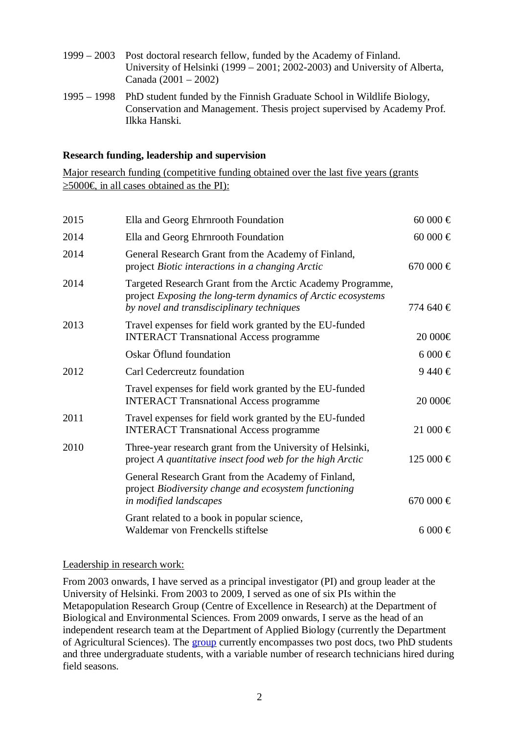- 1999 2003 Post doctoral research fellow, funded by the Academy of Finland. University of Helsinki (1999 – 2001; 2002-2003) and University of Alberta, Canada (2001 – 2002)
- 1995 1998 PhD student funded by the Finnish Graduate School in Wildlife Biology, Conservation and Management. Thesis project supervised by Academy Prof. Ilkka Hanski.

#### **Research funding, leadership and supervision**

Major research funding (competitive funding obtained over the last five years (grants  $≥5000€$  in all cases obtained as the PI):

| 2015 | Ella and Georg Ehrnrooth Foundation                                                                                                                                     | 60 000 €     |
|------|-------------------------------------------------------------------------------------------------------------------------------------------------------------------------|--------------|
| 2014 | Ella and Georg Ehrnrooth Foundation                                                                                                                                     | 60 000 $\in$ |
| 2014 | General Research Grant from the Academy of Finland,<br>project Biotic interactions in a changing Arctic                                                                 | 670 000 €    |
| 2014 | Targeted Research Grant from the Arctic Academy Programme,<br>project Exposing the long-term dynamics of Arctic ecosystems<br>by novel and transdisciplinary techniques | 774 640 €    |
| 2013 | Travel expenses for field work granted by the EU-funded<br><b>INTERACT Transnational Access programme</b>                                                               | 20 000€      |
|      | Oskar Öflund foundation                                                                                                                                                 | $6000 \in$   |
| 2012 | Carl Cedercreutz foundation                                                                                                                                             | 9440€        |
|      | Travel expenses for field work granted by the EU-funded<br><b>INTERACT Transnational Access programme</b>                                                               | 20 000€      |
| 2011 | Travel expenses for field work granted by the EU-funded<br><b>INTERACT Transnational Access programme</b>                                                               | 21 000 €     |
| 2010 | Three-year research grant from the University of Helsinki,<br>project A quantitative insect food web for the high Arctic                                                | 125 000 €    |
|      | General Research Grant from the Academy of Finland,<br>project Biodiversity change and ecosystem functioning<br>in modified landscapes                                  | $670000 \in$ |
|      | Grant related to a book in popular science,<br>Waldemar von Frenckells stiftelse                                                                                        | $6000 \in$   |

Leadership in research work:

From 2003 onwards, I have served as a principal investigator (PI) and group leader at the University of Helsinki. From 2003 to 2009, I served as one of six PIs within the Metapopulation Research Group (Centre of Excellence in Research) at the Department of Biological and Environmental Sciences. From 2009 onwards, I serve as the head of an independent research team at the Department of Applied Biology (currently the Department of Agricultural Sciences). The [group](http://www.helsinki.fi/foodwebs/) currently encompasses two post docs, two PhD students and three undergraduate students, with a variable number of research technicians hired during field seasons.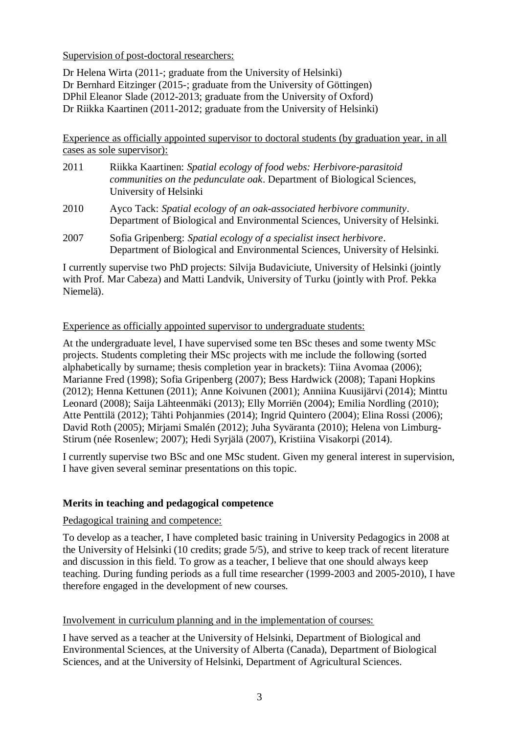### Supervision of post-doctoral researchers:

Dr Helena Wirta (2011-; graduate from the University of Helsinki) Dr Bernhard Eitzinger (2015-; graduate from the University of Göttingen) DPhil Eleanor Slade (2012-2013; graduate from the University of Oxford) Dr Riikka Kaartinen (2011-2012; graduate from the University of Helsinki)

Experience as officially appointed supervisor to doctoral students (by graduation year, in all cases as sole supervisor):

- 2011 Riikka Kaartinen: *Spatial ecology of food webs: Herbivore-parasitoid communities on the pedunculate oak*. Department of Biological Sciences, University of Helsinki
- 2010 Ayco Tack: *Spatial ecology of an oak-associated herbivore community*. Department of Biological and Environmental Sciences, University of Helsinki.
- 2007 Sofia Gripenberg: *Spatial ecology of a specialist insect herbivore*. Department of Biological and Environmental Sciences, University of Helsinki.

I currently supervise two PhD projects: Silvija Budaviciute, University of Helsinki (jointly with Prof. Mar Cabeza) and Matti Landvik, University of Turku (jointly with Prof. Pekka Niemelä).

# Experience as officially appointed supervisor to undergraduate students:

At the undergraduate level, I have supervised some ten BSc theses and some twenty MSc projects. Students completing their MSc projects with me include the following (sorted alphabetically by surname; thesis completion year in brackets): Tiina Avomaa (2006); Marianne Fred (1998); Sofia Gripenberg (2007); Bess Hardwick (2008); Tapani Hopkins (2012); Henna Kettunen (2011); Anne Koivunen (2001); Anniina Kuusijärvi (2014); Minttu Leonard (2008); Saija Lähteenmäki (2013); Elly Morriën (2004); Emilia Nordling (2010); Atte Penttilä (2012); Tähti Pohjanmies (2014); Ingrid Quintero (2004); Elina Rossi (2006); David Roth (2005); Mirjami Smalén (2012); Juha Syväranta (2010); Helena von Limburg-Stirum (née Rosenlew; 2007); Hedi Syrjälä (2007), Kristiina Visakorpi (2014).

I currently supervise two BSc and one MSc student. Given my general interest in supervision, I have given several seminar presentations on this topic.

# **Merits in teaching and pedagogical competence**

# Pedagogical training and competence:

To develop as a teacher, I have completed basic training in University Pedagogics in 2008 at the University of Helsinki (10 credits; grade 5/5), and strive to keep track of recent literature and discussion in this field. To grow as a teacher, I believe that one should always keep teaching. During funding periods as a full time researcher (1999-2003 and 2005-2010), I have therefore engaged in the development of new courses.

# Involvement in curriculum planning and in the implementation of courses:

I have served as a teacher at the University of Helsinki, Department of Biological and Environmental Sciences, at the University of Alberta (Canada), Department of Biological Sciences, and at the University of Helsinki, Department of Agricultural Sciences.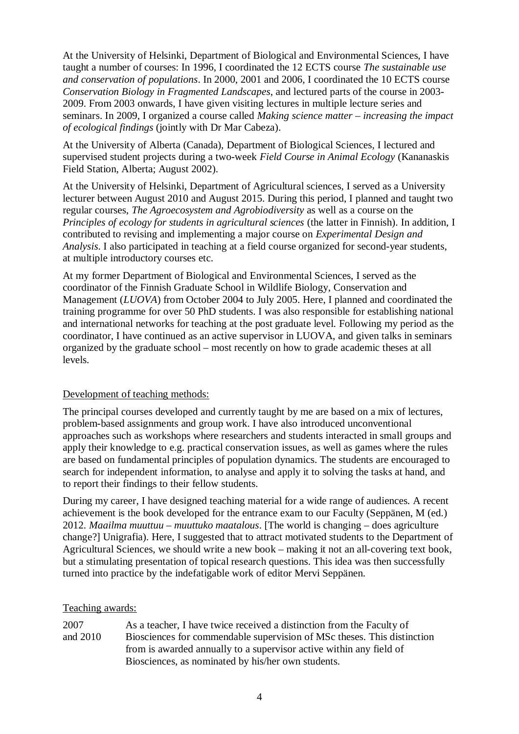At the University of Helsinki, Department of Biological and Environmental Sciences, I have taught a number of courses: In 1996, I coordinated the 12 ECTS course *The sustainable use and conservation of populations*. In 2000, 2001 and 2006, I coordinated the 10 ECTS course *Conservation Biology in Fragmented Landscapes*, and lectured parts of the course in 2003- 2009. From 2003 onwards, I have given visiting lectures in multiple lecture series and seminars. In 2009, I organized a course called *Making science matter – increasing the impact of ecological findings* (jointly with Dr Mar Cabeza).

At the University of Alberta (Canada), Department of Biological Sciences, I lectured and supervised student projects during a two-week *Field Course in Animal Ecology* (Kananaskis Field Station, Alberta; August 2002).

At the University of Helsinki, Department of Agricultural sciences, I served as a University lecturer between August 2010 and August 2015. During this period, I planned and taught two regular courses, *The Agroecosystem and Agrobiodiversity* as well as a course on the *Principles of ecology for students in agricultural sciences* (the latter in Finnish). In addition, I contributed to revising and implementing a major course on *Experimental Design and Analysis*. I also participated in teaching at a field course organized for second-year students, at multiple introductory courses etc.

At my former Department of Biological and Environmental Sciences, I served as the coordinator of the Finnish Graduate School in Wildlife Biology, Conservation and Management (*LUOVA*) from October 2004 to July 2005. Here, I planned and coordinated the training programme for over 50 PhD students. I was also responsible for establishing national and international networks for teaching at the post graduate level. Following my period as the coordinator, I have continued as an active supervisor in LUOVA, and given talks in seminars organized by the graduate school – most recently on how to grade academic theses at all levels.

#### Development of teaching methods:

The principal courses developed and currently taught by me are based on a mix of lectures, problem-based assignments and group work. I have also introduced unconventional approaches such as workshops where researchers and students interacted in small groups and apply their knowledge to e.g. practical conservation issues, as well as games where the rules are based on fundamental principles of population dynamics. The students are encouraged to search for independent information, to analyse and apply it to solving the tasks at hand, and to report their findings to their fellow students.

During my career, I have designed teaching material for a wide range of audiences. A recent achievement is the book developed for the entrance exam to our Faculty (Seppänen, M (ed.) 2012. *Maailma muuttuu – muuttuko maatalous*. [The world is changing – does agriculture change?] Unigrafia). Here, I suggested that to attract motivated students to the Department of Agricultural Sciences, we should write a new book – making it not an all-covering text book, but a stimulating presentation of topical research questions. This idea was then successfully turned into practice by the indefatigable work of editor Mervi Seppänen.

#### Teaching awards:

| 2007     | As a teacher, I have twice received a distinction from the Faculty of   |
|----------|-------------------------------------------------------------------------|
| and 2010 | Biosciences for commendable supervision of MSc theses. This distinction |
|          | from is awarded annually to a supervisor active within any field of     |
|          | Biosciences, as nominated by his/her own students.                      |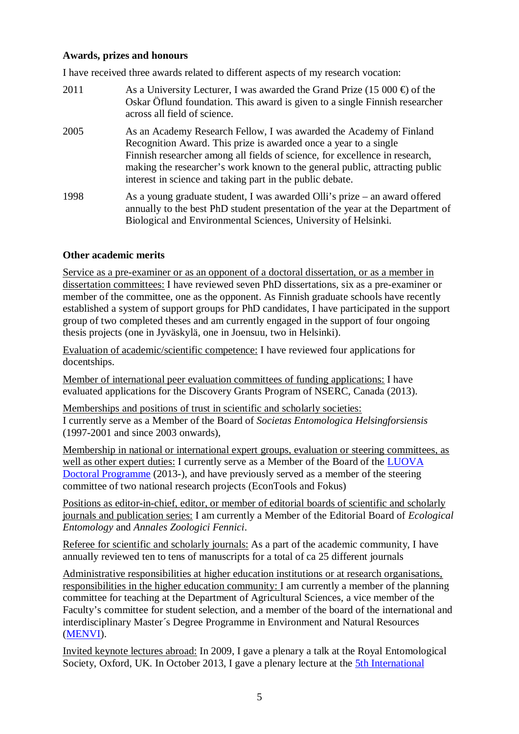### **Awards, prizes and honours**

I have received three awards related to different aspects of my research vocation:

- 2011 As a University Lecturer, I was awarded the Grand Prize (15 000  $\oplus$  of the Oskar Öflund foundation. This award is given to a single Finnish researcher across all field of science.
- 2005 As an Academy Research Fellow, I was awarded the Academy of Finland Recognition Award. This prize is awarded once a year to a single Finnish researcher among all fields of science, for excellence in research, making the researcher's work known to the general public, attracting public interest in science and taking part in the public debate.
- 1998 As a young graduate student, I was awarded Olli's prize an award offered annually to the best PhD student presentation of the year at the Department of Biological and Environmental Sciences, University of Helsinki.

# **Other academic merits**

Service as a pre-examiner or as an opponent of a doctoral dissertation, or as a member in dissertation committees: I have reviewed seven PhD dissertations, six as a pre-examiner or member of the committee, one as the opponent. As Finnish graduate schools have recently established a system of support groups for PhD candidates, I have participated in the support group of two completed theses and am currently engaged in the support of four ongoing thesis projects (one in Jyväskylä, one in Joensuu, two in Helsinki).

Evaluation of academic/scientific competence: I have reviewed four applications for docentships.

Member of international peer evaluation committees of funding applications: I have evaluated applications for the Discovery Grants Program of NSERC, Canada (2013).

Memberships and positions of trust in scientific and scholarly societies: I currently serve as a Member of the Board of *Societas Entomologica Helsingforsiensis* (1997-2001 and since 2003 onwards),

Membership in national or international expert groups, evaluation or steering committees, as well as other expert duties: I currently serve as a Member of the Board of the [LUOVA](http://www.helsinki.fi/luova/) [Doctoral Programme](http://www.helsinki.fi/luova/) (2013-), and have previously served as a member of the steering committee of two national research projects (EconTools and Fokus)

Positions as editor-in-chief, editor, or member of editorial boards of scientific and scholarly journals and publication series: I am currently a Member of the Editorial Board of *Ecological Entomology* and *Annales Zoologici Fennici*.

Referee for scientific and scholarly journals: As a part of the academic community, I have annually reviewed ten to tens of manuscripts for a total of ca 25 different journals

Administrative responsibilities at higher education institutions or at research organisations, responsibilities in the higher education community: I am currently a member of the planning committee for teaching at the Department of Agricultural Sciences, a vice member of the Faculty's committee for student selection, and a member of the board of the international and interdisciplinary Master´s Degree Programme in Environment and Natural Resources ([MENVI](http://www.helsinki.fi/menvi/)).

Invited keynote lectures abroad: In 2009, I gave a plenary a talk at the Royal Entomological Society, Oxford, UK. In October 2013, I gave a plenary lecture at the [5th International](http://www.dnabarcodes2013.org/)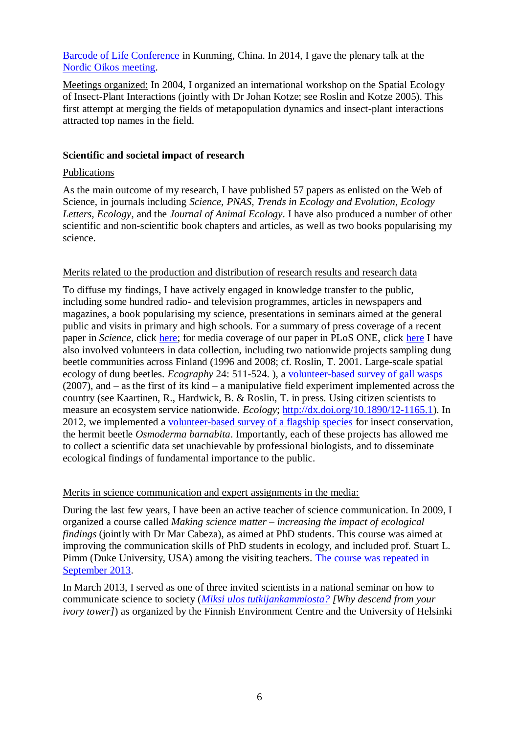[Barcode of Life Conference](http://www.dnabarcodes2013.org/) in Kunming, China. In 2014, I gave the plenary talk at the [Nordic Oikos meeting.](http://www.zoologi.su.se/nordic_oikos2014/)

Meetings organized: In 2004, I organized an international workshop on the Spatial Ecology of Insect-Plant Interactions (jointly with Dr Johan Kotze; see Roslin and Kotze 2005). This first attempt at merging the fields of metapopulation dynamics and insect-plant interactions attracted top names in the field.

### **Scientific and societal impact of research**

### Publications

As the main outcome of my research, I have published 57 papers as enlisted on the Web of Science, in journals including *Science, PNAS*, *Trends in Ecology and Evolution*, *Ecology Letters*, *Ecology*, and the *Journal of Animal Ecology*. I have also produced a number of other scientific and non-scientific book chapters and articles, as well as two books popularising my science.

### Merits related to the production and distribution of research results and research data

To diffuse my findings, I have actively engaged in knowledge transfer to the public, including some hundred radio- and television programmes, articles in newspapers and magazines, a book popularising my science, presentations in seminars aimed at the general public and visits in primary and high schools. For a summary of press coverage of a recent paper in *Science*, click [here](http://www.ibisca.net/ibisca-Science-paper-2012.htm); for media coverage of our paper in PLoS ONE, click [here](http://www.plosone.org/article/comments/info:doi/10.1371/journal.pone.0071454) I have also involved volunteers in data collection, including two nationwide projects sampling dung beetle communities across Finland (1996 and 2008; cf. Roslin, T. 2001. Large-scale spatial ecology of dung beetles. *Ecography* 24: 511-524. ), a [volunteer-based survey of gall wasps](http://www.helsinki.fi/foodwebs/tammi/) (2007), and – as the first of its kind – a manipulative field experiment implemented across the country (see Kaartinen, R., Hardwick, B. & Roslin, T. in press. Using citizen scientists to measure an ecosystem service nationwide. *Ecology*; <http://dx.doi.org/10.1890/12-1165.1>). In 2012, we implemented a [volunteer-based survey of a flagship species](http://www.helsinki.fi/foodwebs/erakkokuoriainen/) for insect conservation, the hermit beetle *Osmoderma barnabita*. Importantly, each of these projects has allowed me to collect a scientific data set unachievable by professional biologists, and to disseminate ecological findings of fundamental importance to the public.

# Merits in science communication and expert assignments in the media:

During the last few years, I have been an active teacher of science communication. In 2009, I organized a course called *Making science matter – increasing the impact of ecological findings* (jointly with Dr Mar Cabeza), as aimed at PhD students. This course was aimed at improving the communication skills of PhD students in ecology, and included prof. Stuart L. Pimm (Duke University, USA) among the visiting teachers. [The course was repeated in](http://www.helsinki.fi/luova/education/courses/science_matter.html) [September 2013.](http://www.helsinki.fi/luova/education/courses/science_matter.html)

In March 2013, I served as one of three invited scientists in a national seminar on how to communicate science to society (*[Miksi ulos tutkijankammiosta?](https://syke.etapahtuma.fi/eTaika_Tiedostot/2/TapahtumanTiedostot/623/tutkimuksenPopularisointi_ohjelma_ja_esiintyjat.pdf) [Why descend from your ivory tower]*) as organized by the Finnish Environment Centre and the University of Helsinki